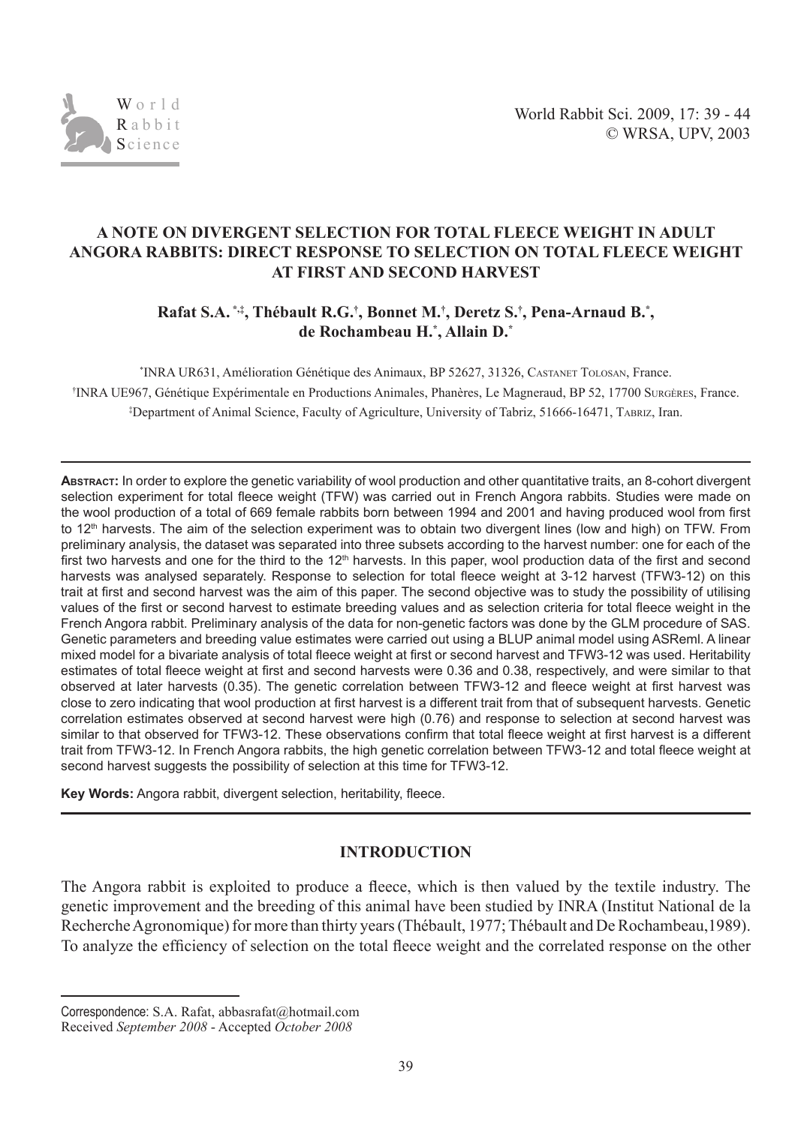

# **A NOTE ON DIVERGENT SELECTION FOR TOTAL FLEECE WEIGHT IN ADULT ANGORA RABBITS: DIRECT RESPONSE TO SELECTION ON TOTAL FLEECE WEIGHT AT FIRST AND SECOND HARVEST**

# $\mathbf{R}$ afat S.A.\*<sup>;</sup>, Thébault R.G.†, Bonnet M.†, Deretz S.†, Pena-Arnaud B.\*, **de Rochambeau H.\* , Allain D.\***

\* INRA UR631, Amélioration Génétique des Animaux, BP 52627, 31326, caStanet toloSan, France. †INRA UE967, Génétique Expérimentale en Productions Animales, Phanères, Le Magneraud, BP 52, 17700 Surgères, France. ‡Department of Animal Science, Faculty of Agriculture, University of Tabriz, 51666-16471, Тавкіz, Iran.

**ABSTRACT:** In order to explore the genetic variability of wool production and other quantitative traits, an 8-cohort divergent selection experiment for total fleece weight (TFW) was carried out in French Angora rabbits. Studies were made on the wool production of a total of 669 female rabbits born between 1994 and 2001 and having produced wool from first to 12th harvests. The aim of the selection experiment was to obtain two divergent lines (low and high) on TFW. From preliminary analysis, the dataset was separated into three subsets according to the harvest number: one for each of the first two harvests and one for the third to the  $12<sup>th</sup>$  harvests. In this paper, wool production data of the first and second harvests was analysed separately. Response to selection for total fleece weight at 3-12 harvest (TFW3-12) on this trait at first and second harvest was the aim of this paper. The second objective was to study the possibility of utilising values of the first or second harvest to estimate breeding values and as selection criteria for total fleece weight in the French Angora rabbit. Preliminary analysis of the data for non-genetic factors was done by the GLM procedure of SAS. Genetic parameters and breeding value estimates were carried out using a BLUP animal model using ASReml. A linear mixed model for a bivariate analysis of total fleece weight at first or second harvest and TFW3-12 was used. Heritability estimates of total fleece weight at first and second harvests were 0.36 and 0.38, respectively, and were similar to that observed at later harvests (0.35). The genetic correlation between TFW3-12 and fleece weight at first harvest was close to zero indicating that wool production at first harvest is a different trait from that of subsequent harvests. Genetic correlation estimates observed at second harvest were high (0.76) and response to selection at second harvest was similar to that observed for TFW3-12. These observations confirm that total fleece weight at first harvest is a different trait from TFW3-12. In French Angora rabbits, the high genetic correlation between TFW3-12 and total fleece weight at second harvest suggests the possibility of selection at this time for TFW3-12.

Key Words: Angora rabbit, divergent selection, heritability, fleece.

# **INTRODUCTION**

The Angora rabbit is exploited to produce a fleece, which is then valued by the textile industry. The genetic improvement and the breeding of this animal have been studied by INRA (Institut National de la Recherche Agronomique) for more than thirty years (Thébault, 1977; Thébault and De Rochambeau,1989). To analyze the efficiency of selection on the total fleece weight and the correlated response on the other

Correspondence: S.A. Rafat, abbasrafat@hotmail.com Received *September 2008* - Accepted *October 2008*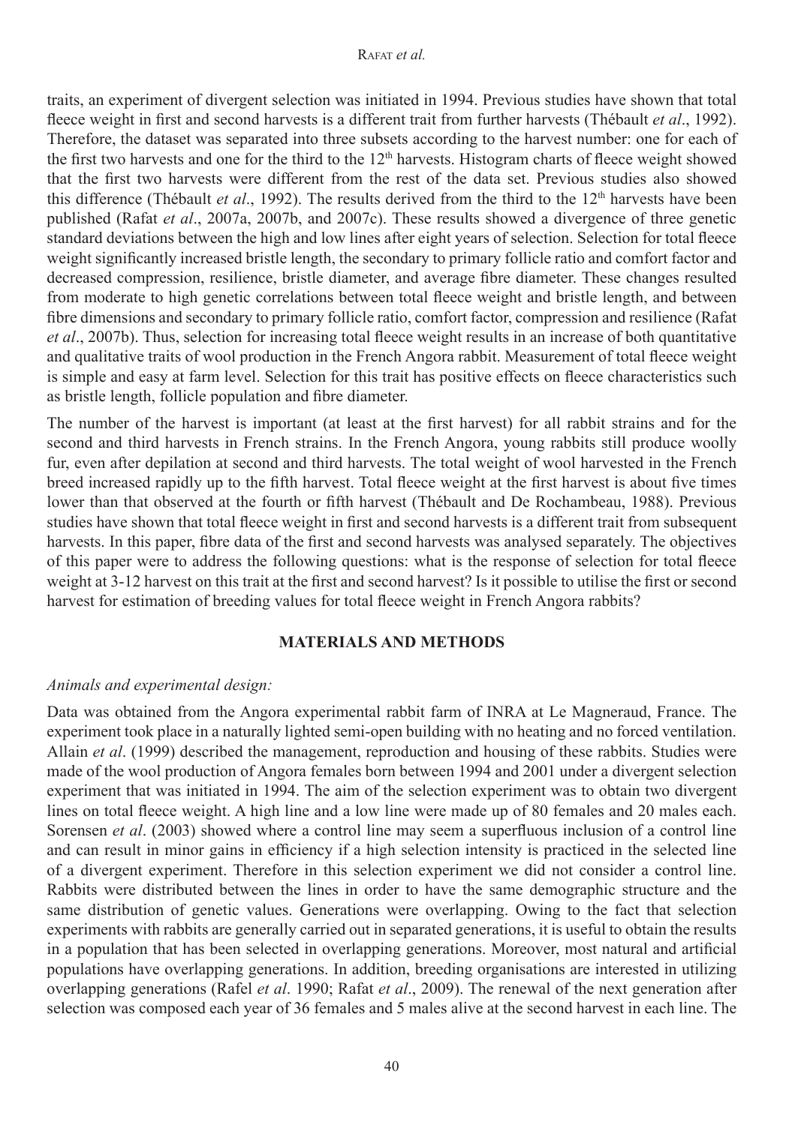## Rafat *et al.*

traits, an experiment of divergent selection was initiated in 1994. Previous studies have shown that total fleece weight in first and second harvests is a different trait from further harvests (Thébault *et al*., 1992). Therefore, the dataset was separated into three subsets according to the harvest number: one for each of the first two harvests and one for the third to the  $12<sup>th</sup>$  harvests. Histogram charts of fleece weight showed that the first two harvests were different from the rest of the data set. Previous studies also showed this difference (Thébault *et al.*, 1992). The results derived from the third to the 12<sup>th</sup> harvests have been published (Rafat *et al*., 2007a, 2007b, and 2007c). These results showed a divergence of three genetic standard deviations between the high and low lines after eight years of selection. Selection for total fleece weight significantly increased bristle length, the secondary to primary follicle ratio and comfort factor and decreased compression, resilience, bristle diameter, and average fibre diameter. These changes resulted from moderate to high genetic correlations between total fleece weight and bristle length, and between fibre dimensions and secondary to primary follicle ratio, comfort factor, compression and resilience (Rafat *et al*., 2007b). Thus, selection for increasing total fleece weight results in an increase of both quantitative and qualitative traits of wool production in the French Angora rabbit. Measurement of total fleece weight is simple and easy at farm level. Selection for this trait has positive effects on fleece characteristics such as bristle length, follicle population and fibre diameter.

The number of the harvest is important (at least at the first harvest) for all rabbit strains and for the second and third harvests in French strains. In the French Angora, young rabbits still produce woolly fur, even after depilation at second and third harvests. The total weight of wool harvested in the French breed increased rapidly up to the fifth harvest. Total fleece weight at the first harvest is about five times lower than that observed at the fourth or fifth harvest (Thébault and De Rochambeau, 1988). Previous studies have shown that total fleece weight in first and second harvests is a different trait from subsequent harvests. In this paper, fibre data of the first and second harvests was analysed separately. The objectives of this paper were to address the following questions: what is the response of selection for total fleece weight at 3-12 harvest on this trait at the first and second harvest? Is it possible to utilise the first or second harvest for estimation of breeding values for total fleece weight in French Angora rabbits?

## **MATERIALS AND METHODS**

## *Animals and experimental design:*

Data was obtained from the Angora experimental rabbit farm of INRA at Le Magneraud, France. The experiment took place in a naturally lighted semi-open building with no heating and no forced ventilation. Allain *et al*. (1999) described the management, reproduction and housing of these rabbits. Studies were made of the wool production of Angora females born between 1994 and 2001 under a divergent selection experiment that was initiated in 1994. The aim of the selection experiment was to obtain two divergent lines on total fleece weight. A high line and a low line were made up of 80 females and 20 males each. Sorensen *et al*. (2003) showed where a control line may seem a superfluous inclusion of a control line and can result in minor gains in efficiency if a high selection intensity is practiced in the selected line of a divergent experiment. Therefore in this selection experiment we did not consider a control line. Rabbits were distributed between the lines in order to have the same demographic structure and the same distribution of genetic values. Generations were overlapping. Owing to the fact that selection experiments with rabbits are generally carried out in separated generations, it is useful to obtain the results in a population that has been selected in overlapping generations. Moreover, most natural and artificial populations have overlapping generations. In addition, breeding organisations are interested in utilizing overlapping generations (Rafel *et al*. 1990; Rafat *et al*., 2009). The renewal of the next generation after selection was composed each year of 36 females and 5 males alive at the second harvest in each line. The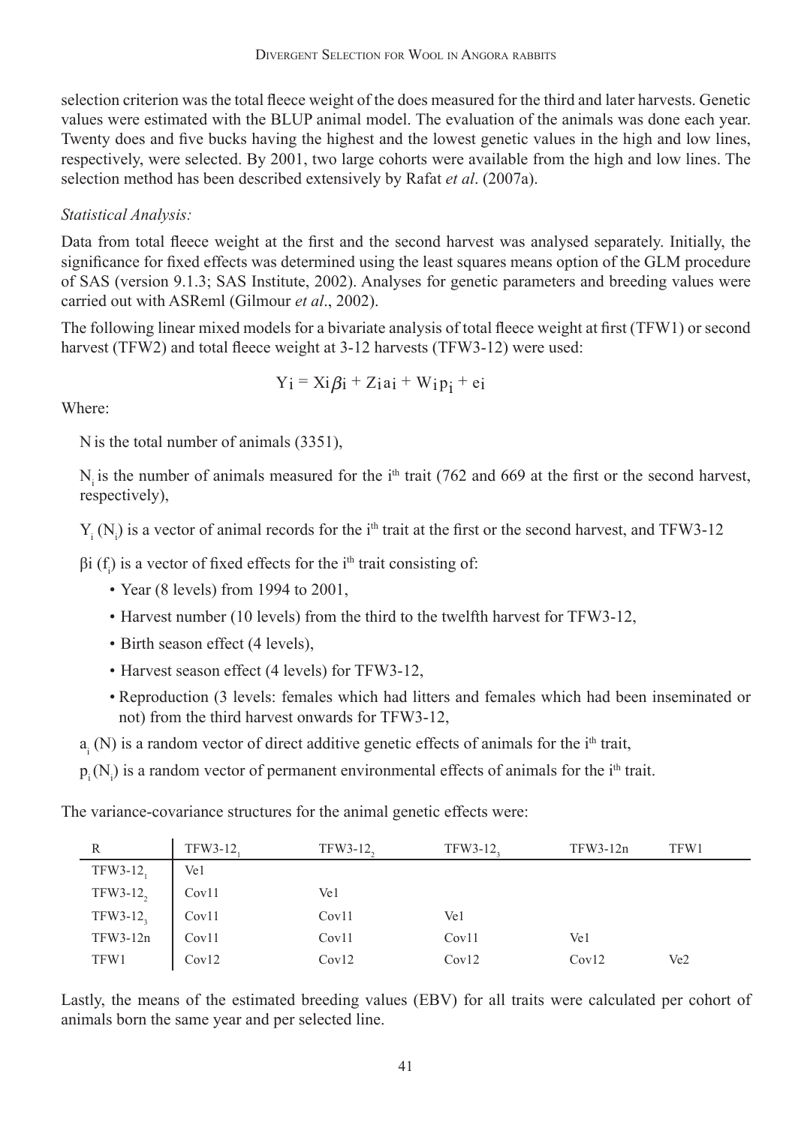selection criterion was the total fleece weight of the does measured for the third and later harvests. Genetic values were estimated with the BLUP animal model. The evaluation of the animals was done each year. Twenty does and five bucks having the highest and the lowest genetic values in the high and low lines, respectively, were selected. By 2001, two large cohorts were available from the high and low lines. The selection method has been described extensively by Rafat *et al*. (2007a).

# *Statistical Analysis:*

Data from total fleece weight at the first and the second harvest was analysed separately. Initially, the significance for fixed effects was determined using the least squares means option of the GLM procedure of SAS (version 9.1.3; SAS Institute, 2002). Analyses for genetic parameters and breeding values were carried out with ASReml (Gilmour *et al*., 2002).

The following linear mixed models for a bivariate analysis of total fleece weight at first (TFW1) or second harvest (TFW2) and total fleece weight at 3-12 harvests (TFW3-12) were used:

$$
Y_i = X_i \beta_i + Z_i a_i + W_i p_i + e_i
$$

Where:

N is the total number of animals (3351),

N is the number of animals measured for the  $i<sup>th</sup>$  trait (762 and 669 at the first or the second harvest, respectively),

 $Y_i(N_i)$  is a vector of animal records for the i<sup>th</sup> trait at the first or the second harvest, and TFW3-12

 $β$ i (f<sub>i</sub>) is a vector of fixed effects for the i<sup>th</sup> trait consisting of:

- Year (8 levels) from 1994 to 2001,
- Harvest number (10 levels) from the third to the twelfth harvest for TFW3-12,
- Birth season effect (4 levels),
- Harvest season effect (4 levels) for TFW3-12,
- Reproduction (3 levels: females which had litters and females which had been inseminated or not) from the third harvest onwards for TFW3-12,
- $a_i$  (N) is a random vector of direct additive genetic effects of animals for the i<sup>th</sup> trait,
- $p_i(N_i)$  is a random vector of permanent environmental effects of animals for the i<sup>th</sup> trait.

The variance-covariance structures for the animal genetic effects were:

| $\,$ R                                                                                                                                | TFW3-12. | $TFW3-12$         | TFW3-12, | $TFW3-12n$ | TFW1            |
|---------------------------------------------------------------------------------------------------------------------------------------|----------|-------------------|----------|------------|-----------------|
|                                                                                                                                       |          |                   |          |            |                 |
| $\begin{tabular}{l c} TFW3-121 & Ve1 \\ \hline TFW3-122 &Cov11 \\ TFW3-123 &Cov11 \\ TFW3-12n &Cov11 \\ TFW1 &Cov12 \\ \end{tabular}$ |          | Ve1               |          |            |                 |
|                                                                                                                                       |          | Cov <sub>11</sub> | Ve1      |            |                 |
|                                                                                                                                       |          | Cov <sub>11</sub> | Cov11    | Ve1        |                 |
|                                                                                                                                       |          | Cov12             | Cov12    | Cov12      | Ve <sub>2</sub> |

Lastly, the means of the estimated breeding values (EBV) for all traits were calculated per cohort of animals born the same year and per selected line.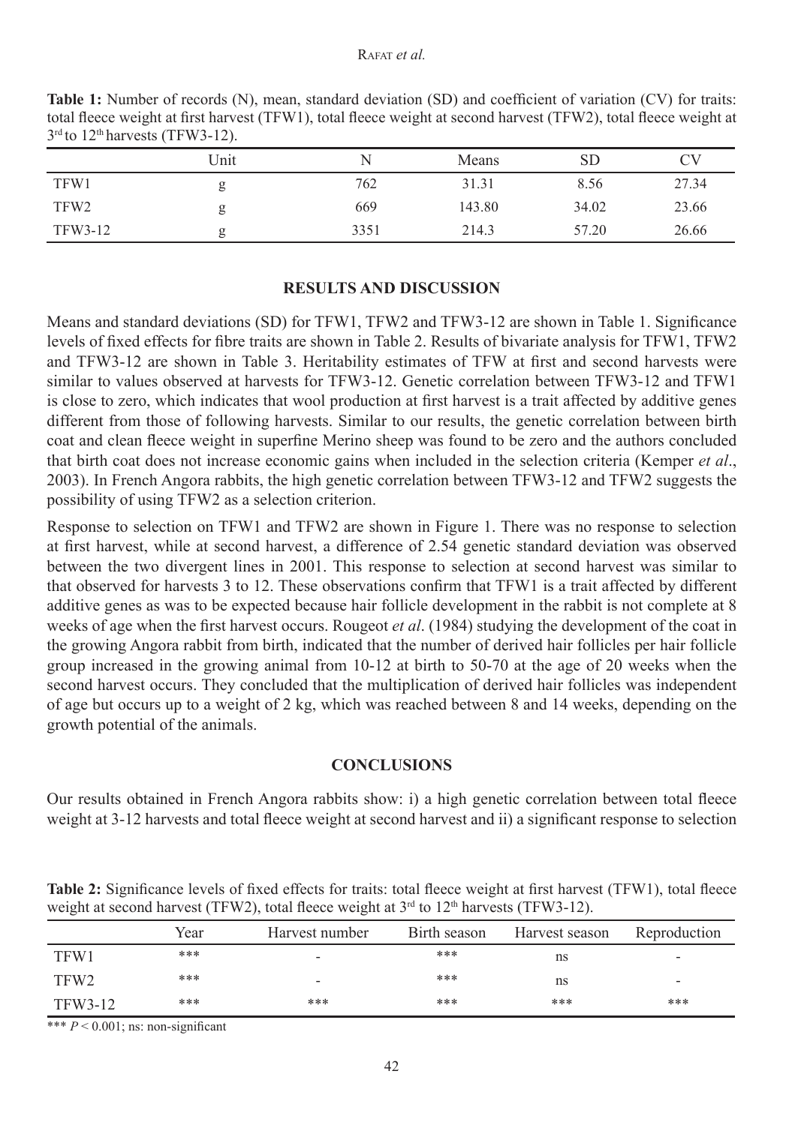| $J$ to $12$ fighteory (TF W $J^{\bullet}12J$ ). |      |      |        |       |       |  |
|-------------------------------------------------|------|------|--------|-------|-------|--|
|                                                 | Unit | N    | Means  | SD    | CV    |  |
| TFW1                                            | g    | 762  | 31.31  | 8.56  | 27.34 |  |
| TFW2                                            | g    | 669  | 143.80 | 34.02 | 23.66 |  |
| TFW3-12                                         | g    | 3351 | 214.3  | 57.20 | 26.66 |  |

**Table 1:** Number of records (N), mean, standard deviation (SD) and coefficient of variation (CV) for traits: total fleece weight at first harvest (TFW1), total fleece weight at second harvest (TFW2), total fleece weight at 3rd to 12th harvests (TFW3-12).

## **RESULTS AND DISCUSSION**

Means and standard deviations (SD) for TFW1, TFW2 and TFW3-12 are shown in Table 1. Significance levels of fixed effects for fibre traits are shown in Table 2. Results of bivariate analysis for TFW1, TFW2 and TFW3-12 are shown in Table 3. Heritability estimates of TFW at first and second harvests were similar to values observed at harvests for TFW3-12. Genetic correlation between TFW3-12 and TFW1 is close to zero, which indicates that wool production at first harvest is a trait affected by additive genes different from those of following harvests. Similar to our results, the genetic correlation between birth coat and clean fleece weight in superfine Merino sheep was found to be zero and the authors concluded that birth coat does not increase economic gains when included in the selection criteria (Kemper *et al*., 2003). In French Angora rabbits, the high genetic correlation between TFW3-12 and TFW2 suggests the possibility of using TFW2 as a selection criterion.

Response to selection on TFW1 and TFW2 are shown in Figure 1. There was no response to selection at first harvest, while at second harvest, a difference of 2.54 genetic standard deviation was observed between the two divergent lines in 2001. This response to selection at second harvest was similar to that observed for harvests 3 to 12. These observations confirm that TFW1 is a trait affected by different additive genes as was to be expected because hair follicle development in the rabbit is not complete at 8 weeks of age when the first harvest occurs. Rougeot *et al*. (1984) studying the development of the coat in the growing Angora rabbit from birth, indicated that the number of derived hair follicles per hair follicle group increased in the growing animal from 10-12 at birth to 50-70 at the age of 20 weeks when the second harvest occurs. They concluded that the multiplication of derived hair follicles was independent of age but occurs up to a weight of 2 kg, which was reached between 8 and 14 weeks, depending on the growth potential of the animals.

## **CONCLUSIONS**

Our results obtained in French Angora rabbits show: i) a high genetic correlation between total fleece weight at 3-12 harvests and total fleece weight at second harvest and ii) a significant response to selection

**Table 2:** Significance levels of fixed effects for traits: total fleece weight at first harvest (TFW1), total fleece weight at second harvest (TFW2), total fleece weight at  $3<sup>rd</sup>$  to  $12<sup>th</sup>$  harvests (TFW3-12).

|                  | Year | Harvest number           | Birth season | Harvest season | Reproduction             |
|------------------|------|--------------------------|--------------|----------------|--------------------------|
| TFW1             | ***  | $\overline{\phantom{0}}$ | ***          | ns             | $\overline{\phantom{a}}$ |
| TFW <sub>2</sub> | ***  | $\overline{\phantom{0}}$ | ***          | ns             | $\overline{\phantom{0}}$ |
| TFW3-12          | ***  | ***                      | ***          | ***            | ***                      |

 $\overline{***}$  *P* < 0.001; ns: non-significant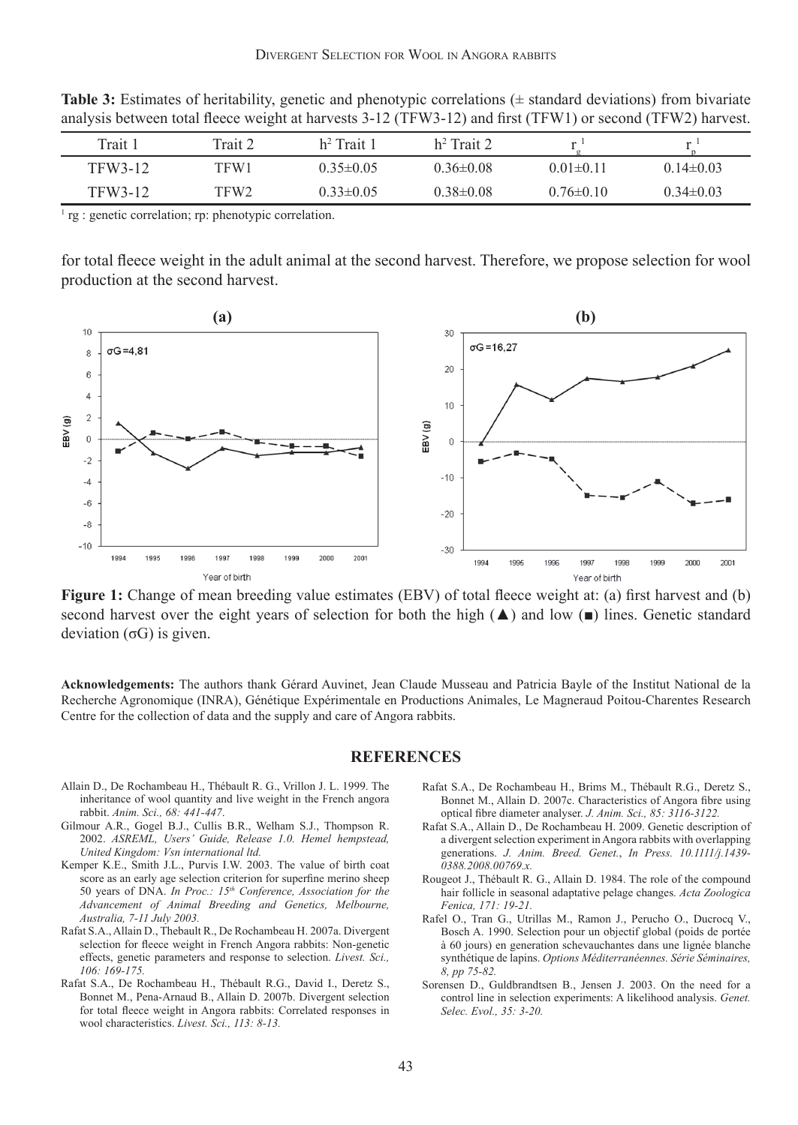| Trait 1 | Trait 2 | $h^2$ Trait 1   | $h^2$ Trait 2   |                 | ÷              |
|---------|---------|-----------------|-----------------|-----------------|----------------|
| TFW3-12 | TFW1    | $0.35 \pm 0.05$ | $0.36\pm0.08$   | $0.01 \pm 0.11$ | $0.14\pm 0.03$ |
| TFW3-12 | TFW2    | $0.33 \pm 0.05$ | $0.38 \pm 0.08$ | $0.76 \pm 0.10$ | $0.34\pm0.03$  |

**Table 3:** Estimates of heritability, genetic and phenotypic correlations ( $\pm$  standard deviations) from bivariate analysis between total fleece weight at harvests 3-12 (TFW3-12) and first (TFW1) or second (TFW2) harvest.

<sup>1</sup> rg : genetic correlation; rp: phenotypic correlation.

for total fleece weight in the adult animal at the second harvest. Therefore, we propose selection for wool production at the second harvest.



**Figure 1:** Change of mean breeding value estimates (EBV) of total fleece weight at: (a) first harvest and (b) second harvest over the eight years of selection for both the high ( $\triangle$ ) and low ( $\blacksquare$ ) lines. Genetic standard deviation (σG) is given.

**Acknowledgements:** The authors thank Gérard Auvinet, Jean Claude Musseau and Patricia Bayle of the Institut National de la Recherche Agronomique (INRA), Génétique Expérimentale en Productions Animales, Le Magneraud Poitou-Charentes Research Centre for the collection of data and the supply and care of Angora rabbits.

#### **REFERENCES**

- Allain D., de Rochambeau H., Thébault R. G., Vrillon J. L. 1999. The inheritance of wool quantity and live weight in the French angora rabbit. *Anim. Sci., 68: 441-447*.
- Gilmour A.R., Gogel B.J., Cullis B.R., Welham S.J., Thompson R. 2002. *ASREML, Users' Guide, Release 1.0. Hemel hempstead, United Kingdom: Vsn international ltd.*
- Kemper K.E., Smith J.L., Purvis I.W. 2003. The value of birth coat score as an early age selection criterion for superfine merino sheep 50 years of DNA. In Proc.: 15<sup>th</sup> Conference, Association for the *advancement of animal breeding and genetics, Melbourne, Australia, 7-11 July 2003.*
- Rafat S.A., Allain D., Thebault R., de Rochambeau H. 2007a. Divergent selection for fleece weight in French Angora rabbits: Non-genetic effects, genetic parameters and response to selection. *Livest. Sci., 106: 169-175.*
- Rafat S.A., De Rochambeau H., Thébault R.G., David I., Deretz S., Bonnet M., Pena-Arnaud B., Allain D. 2007b. Divergent selection for total fleece weight in Angora rabbits: Correlated responses in wool characteristics. *Livest. Sci., 113: 8-13.*
- Rafat S.A., De Rochambeau H., Brims M., Thébault R.G., Deretz S., Bonnet M., Allain D. 2007c. Characteristics of Angora fibre using optical fibre diameter analyser. *J. Anim. Sci., 85: 3116-3122.*
- Rafat S.A., Allain D., De Rochambeau H. 2009. Genetic description of a divergent selection experiment in Angora rabbits with overlapping generations. *J. Anim. Breed. Genet.*, *In Press. 10.1111/j.1439- 0388.2008.00769.x.*
- Rougeot J., Thébault R. G., Allain D. 1984. The role of the compound hair follicle in seasonal adaptative pelage changes. *Acta Zoologica Fenica, 171: 19-21.*
- Rafel O., Tran G., Utrillas M., Ramon J., Perucho O., Ducrocq V., Bosch A. 1990. Selection pour un objectif global (poids de portée à 60 jours) en generation schevauchantes dans une lignée blanche synthétique de lapins. *Options Méditerranéennes. Série Séminaires, 8, pp 75-82.*
- Sorensen D., Guldbrandtsen B., Jensen J. 2003. On the need for a control line in selection experiments: A likelihood analysis. *Genet. Selec. Evol., 35: 3-20.*